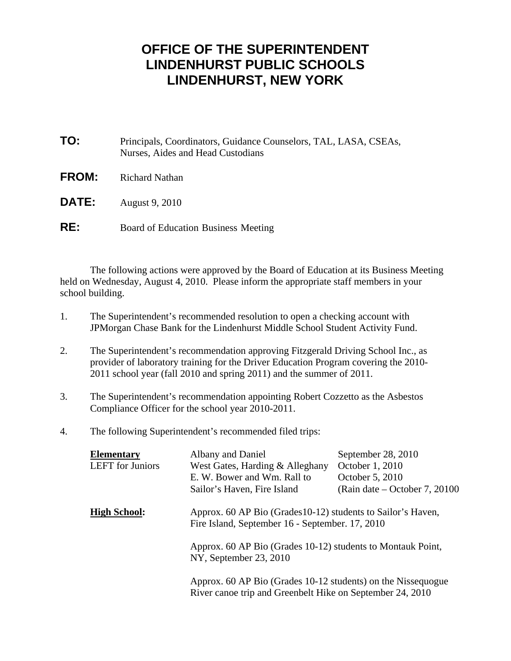## **OFFICE OF THE SUPERINTENDENT LINDENHURST PUBLIC SCHOOLS LINDENHURST, NEW YORK**

| TO:          | Principals, Coordinators, Guidance Counselors, TAL, LASA, CSEAs,<br>Nurses, Aides and Head Custodians |
|--------------|-------------------------------------------------------------------------------------------------------|
| <b>FROM:</b> | <b>Richard Nathan</b>                                                                                 |
| <b>DATE:</b> | August 9, 2010                                                                                        |
| RE:          | Board of Education Business Meeting                                                                   |

 The following actions were approved by the Board of Education at its Business Meeting held on Wednesday, August 4, 2010. Please inform the appropriate staff members in your school building.

- 1. The Superintendent's recommended resolution to open a checking account with JPMorgan Chase Bank for the Lindenhurst Middle School Student Activity Fund.
- 2. The Superintendent's recommendation approving Fitzgerald Driving School Inc., as provider of laboratory training for the Driver Education Program covering the 2010- 2011 school year (fall 2010 and spring 2011) and the summer of 2011.
- 3. The Superintendent's recommendation appointing Robert Cozzetto as the Asbestos Compliance Officer for the school year 2010-2011.
- 4. The following Superintendent's recommended filed trips:

| <b>Elementary</b>       | Albany and Daniel                                                                                               | September 28, 2010                                                                                                                                                                       |  |
|-------------------------|-----------------------------------------------------------------------------------------------------------------|------------------------------------------------------------------------------------------------------------------------------------------------------------------------------------------|--|
| <b>LEFT</b> for Juniors | West Gates, Harding & Alleghany                                                                                 | October 1, 2010                                                                                                                                                                          |  |
|                         | E. W. Bower and Wm. Rall to                                                                                     | October 5, 2010                                                                                                                                                                          |  |
|                         | Sailor's Haven, Fire Island                                                                                     | (Rain date – October 7, 20100)                                                                                                                                                           |  |
| <b>High School:</b>     | Approx. 60 AP Bio (Grades 10-12) students to Sailor's Haven,<br>Fire Island, September 16 - September. 17, 2010 |                                                                                                                                                                                          |  |
|                         | NY, September 23, 2010                                                                                          | Approx. 60 AP Bio (Grades 10-12) students to Montauk Point,<br>Approx. 60 AP Bio (Grades 10-12 students) on the Nissequogue<br>River canoe trip and Greenbelt Hike on September 24, 2010 |  |
|                         |                                                                                                                 |                                                                                                                                                                                          |  |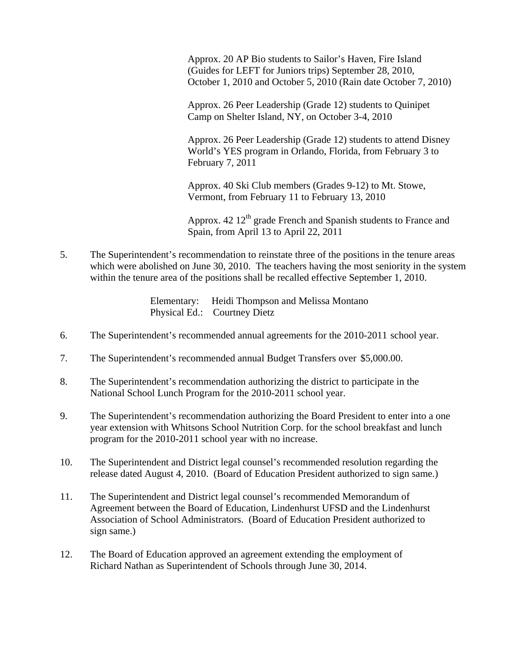Approx. 20 AP Bio students to Sailor's Haven, Fire Island (Guides for LEFT for Juniors trips) September 28, 2010, October 1, 2010 and October 5, 2010 (Rain date October 7, 2010)

 Approx. 26 Peer Leadership (Grade 12) students to Quinipet Camp on Shelter Island, NY, on October 3-4, 2010

 Approx. 26 Peer Leadership (Grade 12) students to attend Disney World's YES program in Orlando, Florida, from February 3 to February 7, 2011

 Approx. 40 Ski Club members (Grades 9-12) to Mt. Stowe, Vermont, from February 11 to February 13, 2010

Approx. 42 12<sup>th</sup> grade French and Spanish students to France and Spain, from April 13 to April 22, 2011

5. The Superintendent's recommendation to reinstate three of the positions in the tenure areas which were abolished on June 30, 2010. The teachers having the most seniority in the system within the tenure area of the positions shall be recalled effective September 1, 2010.

> Elementary: Heidi Thompson and Melissa Montano Physical Ed.: Courtney Dietz

- 6. The Superintendent's recommended annual agreements for the 2010-2011 school year.
- 7. The Superintendent's recommended annual Budget Transfers over \$5,000.00.
- 8. The Superintendent's recommendation authorizing the district to participate in the National School Lunch Program for the 2010-2011 school year.
- 9. The Superintendent's recommendation authorizing the Board President to enter into a one year extension with Whitsons School Nutrition Corp. for the school breakfast and lunch program for the 2010-2011 school year with no increase.
- 10. The Superintendent and District legal counsel's recommended resolution regarding the release dated August 4, 2010. (Board of Education President authorized to sign same.)
- 11. The Superintendent and District legal counsel's recommended Memorandum of Agreement between the Board of Education, Lindenhurst UFSD and the Lindenhurst Association of School Administrators. (Board of Education President authorized to sign same.)
- 12. The Board of Education approved an agreement extending the employment of Richard Nathan as Superintendent of Schools through June 30, 2014.